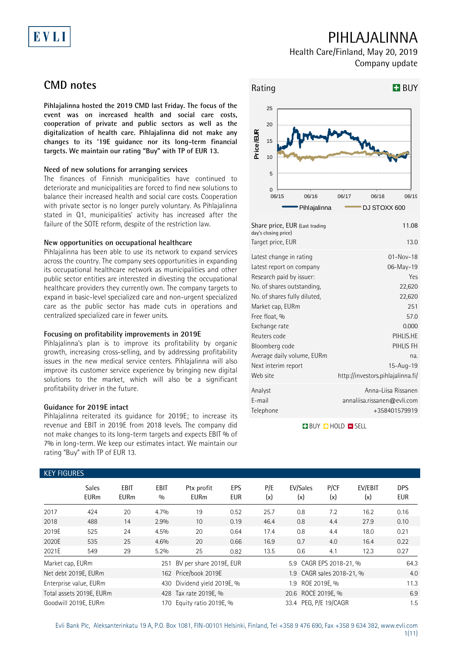# EVLI

# PIHLAJALINNA

Health Care/Finland, May 20, 2019 Company update

# **CMD notes**

**Pihlajalinna hosted the 2019 CMD last Friday. The focus of the event was on increased health and social care costs, cooperation of private and public sectors as well as the digitalization of health care. Pihlajalinna did not make any changes to its '19E guidance nor its long-term financial targets. We maintain our rating "Buy" with TP of EUR 13.**

## **Need of new solutions for arranging services**

The finances of Finnish municipalities have continued to deteriorate and municipalities are forced to find new solutions to balance their increased health and social care costs. Cooperation with private sector is no longer purely voluntary. As Pihlajalinna stated in Q1, municipalities' activity has increased after the failure of the SOTE reform, despite of the restriction law.

## **New opportunities on occupational healthcare**

Pihlajalinna has been able to use its network to expand services across the country. The company sees opportunities in expanding its occupational healthcare network as municipalities and other public sector entities are interested in divesting the occupational healthcare providers they currently own. The company targets to expand in basic-level specialized care and non-urgent specialized care as the public sector has made cuts in operations and centralized specialized care in fewer units.

## **Focusing on profitability improvements in 2019E**

Pihlajalinna's plan is to improve its profitability by organic growth, increasing cross-selling, and by addressing profitability issues in the new medical service centers. Pihlajalinna will also improve its customer service experience by bringing new digital solutions to the market, which will also be a significant profitability driver in the future.

## **Guidance for 2019E intact**

Pihlajalinna reiterated its guidance for 2019E; to increase its revenue and EBIT in 2019E from 2018 levels. The company did not make changes to its long-term targets and expects EBIT % of 7% in long-term. We keep our estimates intact. We maintain our rating "Buy" with TP of EUR 13.

## Rating **BUY**  $\Omega$ 5 10 15 20 25 06/15 06/16 06/17 06/18 06/19 **Price/EUR** Pihlajalinna **DJ STOXX 600** Share price, EUR (Last trading day's closing price) 11.08 Target price, EUR 13.0 Latest change in rating and the control of the 01-Nov-18 Latest report on company and the company o6-May-19 Research paid by issuer: Yes No. of shares outstanding, No. of shares fully diluted, 22,620 Market cap, EURm 251 22,620 Free float, % 57.0 Exchange rate 0.000 Reuters code PIHLIS.HE Bloomberg code PIHLIS FH Average daily volume, EURm na. Next interim report 15-Aug-19 Web site http://investors.pihlajalinna.fi/ Analyst Anna-Liisa Rissanen E-mail annaliisa.rissanen@evli.com Telephone +358401579919

**BUY QHOLD SELL** 

| <b>KEY FIGURES</b>                                |                             |                            |             |                             |                   |            |                           |             |                |                          |  |
|---------------------------------------------------|-----------------------------|----------------------------|-------------|-----------------------------|-------------------|------------|---------------------------|-------------|----------------|--------------------------|--|
|                                                   | <b>Sales</b><br><b>EURm</b> | <b>EBIT</b><br><b>EURm</b> | EBIT<br>0/0 | Ptx profit<br><b>EURm</b>   | EPS<br><b>EUR</b> | P/E<br>(x) | EV/Sales<br>(x)           | P/CF<br>(x) | EV/EBIT<br>(x) | <b>DPS</b><br><b>EUR</b> |  |
| 2017                                              | 424                         | 20                         | 4.7%        | 19                          | 0.52              | 25.7       | 0.8                       | 7.2         | 16.2           | 0.16                     |  |
| 2018                                              | 488                         | 14                         | 2.9%        | 10                          | 0.19              | 46.4       | 0.8                       | 4.4         | 27.9           | 0.10                     |  |
| 2019E                                             | 525                         | 24                         | 4.5%        | 20                          | 0.64              | 17.4       | 0.8                       | 4.4         | 18.0           | 0.21                     |  |
| 2020E                                             | 535                         | 25                         | 4.6%        | 20                          | 0.66              | 16.9       | 0.7                       | 4.0         | 16.4           | 0.22                     |  |
| 2021E                                             | 549                         | 29                         | 5.2%        | 25                          | 0.82              | 13.5       | 0.6                       | 4.1         | 12.3           | 0.27                     |  |
| Market cap, EURm                                  |                             |                            |             | 251 BV per share 2019E, EUR |                   |            | 5.9 CAGR EPS 2018-21, %   |             |                | 64.3                     |  |
|                                                   | Net debt 2019E, EURm        |                            |             | 162 Price/book 2019E        |                   |            | 1.9 CAGR sales 2018-21, % |             |                |                          |  |
|                                                   | Enterprise value, EURm      |                            | 430         | Dividend yield 2019E, %     |                   |            |                           | 11.3        |                |                          |  |
| Total assets 2019E, EURm<br>428 Tax rate 2019E, % |                             |                            |             |                             |                   |            | 20.6 ROCE 2019E, %        |             |                | 6.9                      |  |
|                                                   | Goodwill 2019E, EURm        |                            | 170         | Equity ratio 2019E, %       |                   |            | 33.4 PEG, P/E 19/CAGR     |             |                | 1.5                      |  |

### Evli Bank Plc, Aleksanterinkatu 19 A, P.O. Box 1081, FIN-00101 Helsinki, Finland, Tel +358 9 476 690, Fax +358 9 634 382, [www.evli.com](http://www.evli.com/) 1(11)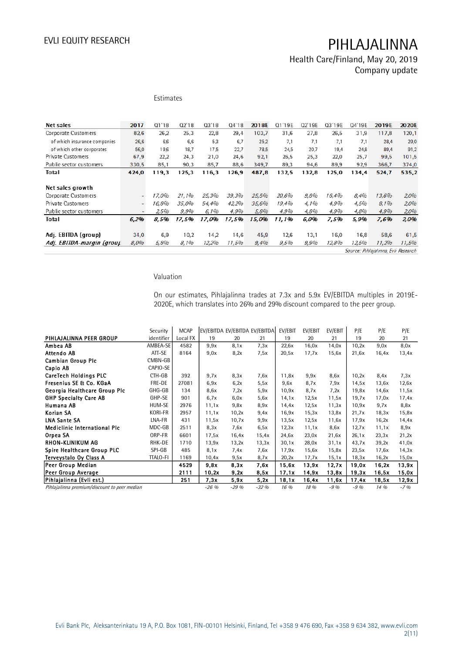Health Care/Finland, May 20, 2019 Company update

## Estimates

| Net sales                    | 2017  | Q1'18 | Q2'18 | 03'18 | 04'18 | 2018E | Q1'19E | Q2'19E | Q3'19E | Q4'19E | 2019E | 2020E |
|------------------------------|-------|-------|-------|-------|-------|-------|--------|--------|--------|--------|-------|-------|
| Corporate Customers          | 82,6  | 26,2  | 25,3  | 22,8  | 29,4  | 103.7 | 31,6   | 27,8   | 26,5   | 31,9   | 117.8 | 120,1 |
| of which insurance companies | 26,6  | 6,6   | 6.6   | 5,3   | 6.7   | 25,2  | 7.1    | 7.1    | 7.1    | 7,1    | 28,4  | 29,0  |
| of which other corporates    | 56,0  | 19,6  | 18.7  | 17,5  | 22,7  | 78,5  | 24,5   | 20,7   | 19.4   | 24,8   | 89.4  | 91,2  |
| Private Customers            | 67,9  | 22,2  | 24.3  | 21,0  | 24.6  | 92,1  | 26,5   | 25,3   | 22.0   | 25,7   | 99,5  | 101,5 |
| Public sector customers      | 330.5 | 85.1  | 90.3  | 85.7  | 88.6  | 349.7 | 89,3   | 94,6   | 89,9   | 92,9   | 366,7 | 374,0 |
| Total                        | 424.0 | 119.3 | 125.3 | 116.3 | 126.9 | 487,8 | 132.5  | 132.8  | 125.0  | 134.4  | 524.7 | 535.2 |
|                              |       |       |       |       |       |       |        |        |        |        |       |       |
| Net sales growth             |       |       |       |       |       |       |        |        |        |        |       |       |
| Corporate Customers          | ٠     | 17.0% | 21.1% | 25,3% | 39,3% | 25,5% | 20.6%  | 9.8%   | 16.4%  | 8.4%   | 13.6% | 2,0%  |
| Private Customers            |       | 16,8% | 35.0% | 54.4% | 42,2% | 35,6% | 19,4%  | 4.1%   | 4,9%   | 4.5%   | 8,1%  | 2,0%  |
| Public sector customers      |       | 2,5%  | 9,9%  | 6,1%  | 4,9%  | 5,8%  | 4,9%   | 4.8%   | 4,9%   | 4,8%   | 4,9%  | 2,0%  |
| Total                        | 6,2%  | 8,5%  | 17,5% | 17,0% | 17,5% | 15.0% | 11,1%  | 6,0%   | 7.5%   | 5,9%   | 7,6%  | 2,0%  |
|                              |       |       |       |       |       |       |        |        |        |        |       |       |
| Adj. EBITDA (group)          | 34,0  | 6.9   | 10,2  | 14,2  | 14.6  | 45,9  | 12.6   | 13.1   | 16,0   | 16.8   | 58,6  | 61,5  |
| Adj. EBITDA-margin (group    | 8,0%  | 5.8%  | 8,1%  | 12,2% | 11,5% | 9,4%  | 9,5%   | 9,9%   | 12,8%  | 12,5%  | 11,2% | 11,5% |

Source: Pihlajalinna, Evli Research

### Valuation

On our estimates, Pihlajalinna trades at 7.3x and 5.9x EV/EBITDA multiples in 2019E-2020E, which translates into 26% and 29% discount compared to the peer group.

|                                              | Security        | <b>MCAP</b> |         |        | EV/EBITDA EV/EBITDA EV/EBITDA | EV/EBIT | EV/EBIT | EV/EBIT | P/E    | P/E   | P/E   |
|----------------------------------------------|-----------------|-------------|---------|--------|-------------------------------|---------|---------|---------|--------|-------|-------|
| PIHLAJALINNA PEER GROUP                      | identifier      | Local FX    | 19      | 20     | 21                            | 19      | 20      | 21      | 19     | 20    | 21    |
| Ambea AB                                     | AMBEA-SE        | 4582        | 9.9x    | 8.1x   | 7.3x                          | 22,6x   | 16,0x   | 14.0x   | 10,2x  | 9.0x  | 8.0x  |
| Attendo AB                                   | ATT-SE          | 8164        | 9.0x    | 8,2x   | 7,5x                          | 20.5x   | 17,7x   | 15,6x   | 21,6x  | 16,4x | 13,4x |
| <b>Cambian Group Plc</b>                     | CMBN-GB         |             |         |        |                               |         |         |         |        |       |       |
| Capio AB                                     | CAPIO-SE        |             |         |        |                               |         |         |         |        |       |       |
| <b>CareTech Holdings PLC</b>                 | CTH-GB          | 392         | 9.7x    | 8.3x   | 7.6x                          | 11,8x   | 9.9x    | 8.6x    | 10,2x  | 8.4x  | 7,3x  |
| Fresenius SE & Co. KGaA                      | FRE-DE          | 27081       | 6.9x    | 6,2x   | 5,5x                          | 9.6x    | 8.7x    | 7,9x    | 14.5x  | 13,6x | 12,6x |
| Georgia Healthcare Group Plc                 | GHG-GB          | 134         | 8,6x    | 7.2x   | 5.9x                          | 10.9x   | 8.7x    | 7.2x    | 19,8x  | 14,6x | 11,5x |
| <b>GHP Specialty Care AB</b>                 | GHP-SE          | 901         | 6.7x    | 6.0x   | 5.6x                          | 14,1x   | 12.5x   | 11,5x   | 19.7x  | 17,0x | 17,4x |
| Humana AB                                    | HUM-SE          | 2976        | 11,1x   | 9.8x   | 8.9x                          | 14,4x   | 12.5x   | 11,3x   | 10,9x  | 9.7x  | 8,8x  |
| Korian SA                                    | KORI-FR         | 2957        | 11,1x   | 10,2x  | 9,4x                          | 16,9x   | 15,3x   | 13,8x   | 21,7x  | 18,3x | 15,8x |
| <b>LNA Sante SA</b>                          | LNA-FR          | 431         | 11,5x   | 10,7x  | 9.9x                          | 13,5x   | 12.5x   | 11,6x   | 17.9x  | 16,2x | 14,4x |
| <b>Mediclinic International Plc</b>          | MDC-GB          | 2511        | 8,3x    | 7.6x   | 6,5x                          | 12,3x   | 11.1x   | 8.6x    | 12.7x  | 11,1x | 8,9x  |
| Orpea SA                                     | ORP-FR          | 6601        | 17.5x   | 16,4x  | 15.4x                         | 24,6x   | 23,0x   | 21,6x   | 26.1x  | 23,3x | 21,2x |
| RHON-KLINIKUM AG                             | RHK-DE          | 1710        | 13.9x   | 13,2x  | 13,3x                         | 30,1x   | 28,0x   | 31,1x   | 43.7x  | 39,2x | 41,0x |
| Spire Healthcare Group PLC                   | SPI-GB          | 485         | 8.1x    | 7.4x   | 7.6x                          | 17.9x   | 15,6x   | 15,8x   | 23,5x  | 17,6x | 14,3x |
| Terveystalo Oy Class A                       | <b>TTALO-FI</b> | 1169        | 10,4x   | 9,5x   | 8,7x                          | 20,2x   | 17,7x   | 15,1x   | 18,3x  | 16,2x | 15,0x |
| Peer Group Median                            |                 | 4529        | 9.8x    | 8,3x   | 7.6x                          | 15,6x   | 13,9x   | 12.7x   | 19,0x  | 16,2x | 13,9x |
| Peer Group Average                           |                 | 2111        | 10,2x   | 9,2x   | 8,5x                          | 17,1x   | 14.9x   | 13.8x   | 19,3x  | 16,5x | 15,0x |
| Pihlajalinna (Evli est.)                     |                 | 251         | 7.3x    | 5,9x   | 5.2x                          | 18.1x   | 16,4x   | 11,6x   | 17,4x  | 18,5x | 12,9x |
| Pihlajalinna premium/discount to peer median |                 |             | $-26\%$ | $-29%$ | $-32%$                        | 16 %    | 18 %    | $-9%$   | $-9\%$ | 14%   | $-7%$ |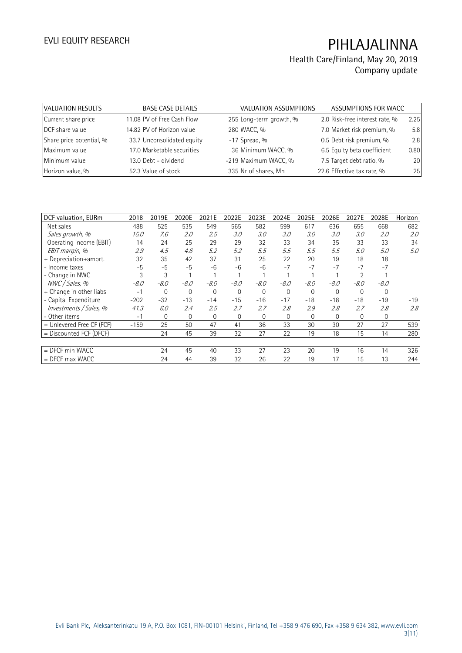| VALUATION RESULTS        | <b>BASE CASE DETAILS</b>   | VALUATION ASSUMPTIONS   | ASSUMPTIONS FOR WACC           |      |
|--------------------------|----------------------------|-------------------------|--------------------------------|------|
| Current share price      | 11.08 PV of Free Cash Flow | 255 Long-term growth, % | 2.0 Risk-free interest rate, % | 2.25 |
| DCF share value          | 14.82 PV of Horizon value  | 280 WACC, %             | 7.0 Market risk premium, %     | 5.8  |
| Share price potential, % | 33.7 Unconsolidated equity | $-17$ Spread, %         | 0.5 Debt risk premium, %       | 2.8  |
| Maximum value            | 17.0 Marketable securities | 36 Minimum WACC, %      | 6.5 Equity beta coefficient    | 0.80 |
| Minimum value            | 13.0 Debt - dividend       | -219 Maximum WACC, %    | 7.5 Target debt ratio, %       | 20   |
| Horizon value, %         | 52.3 Value of stock        | 335 Nr of shares, Mn    | 22.6 Effective tax rate, %     | 25   |

| DCF valuation, EURm         | 2018   | 2019E          | 2020E       | 2021E        | 2022E        | 2023E    | 2024E        | 2025E       | 2026E    | 2027E    | 2028E    | Horizon |
|-----------------------------|--------|----------------|-------------|--------------|--------------|----------|--------------|-------------|----------|----------|----------|---------|
| Net sales                   | 488    | 525            | 535         | 549          | 565          | 582      | 599          | 617         | 636      | 655      | 668      | 682     |
| Sales growth, %             | 15.0   | 7.6            | 2.0         | 2.5          | 3.0          | 3.0      | 3.0          | 3.0         | 3.0      | 3.0      | 2.0      | 2.0     |
| Operating income (EBIT)     | 14     | 24             | 25          | 29           | 29           | 32       | 33           | 34          | 35       | 33       | 33       | 34      |
| EBIT margin, %              | 2.9    | 4.5            | 4.6         | 5.2          | 5.2          | 5.5      | 5.5          | 5.5         | 5.5      | 5.0      | 5.0      | 5.0     |
| + Depreciation+amort.       | 32     | 35             | 42          | 37           | 31           | 25       | 22           | 20          | 19       | 18       | 18       |         |
| - Income taxes              | $-5$   | $-5$           | $-5$        | $-6$         | $-6$         | $-6$     | $-7$         | $-7$        | $-7$     | $-7$     | $-7$     |         |
| - Change in NWC             | 3      | 3              |             |              |              |          |              |             |          |          |          |         |
| NWC / Sales, %              | $-8.0$ | $-8.0$         | $-8.0$      | $-8.0$       | $-8.0$       | $-8.0$   | $-8.0$       | $-8.0$      | $-8.0$   | $-8.0$   | $-8.0$   |         |
| + Change in other liabs     | $-1$   | 0              | $\mathbf 0$ | $\mathbf{0}$ | $\Omega$     | $\Omega$ | $\mathbf{0}$ | $\mathbf 0$ | $\Omega$ | $\Omega$ | $\Omega$ |         |
| - Capital Expenditure       | $-202$ | $-32$          | $-13$       | $-14$        | $-15$        | $-16$    | $-17$        | $-18$       | $-18$    | $-18$    | $-19$    | $-19$   |
| Investments / Sales, %      | 41.3   | 6.0            | 2.4         | 2.5          | 2.7          | 2.7      | 2.8          | 2.9         | 2.8      | 2.7      | 2.8      | 2.8     |
| - Other items               | $-1$   | $\overline{0}$ | $\Omega$    | 0            | $\mathbf{0}$ | $\Omega$ | 0            | $\Omega$    | $\Omega$ | 0        | 0        |         |
| $=$ Unlevered Free CF (FCF) | $-159$ | 25             | 50          | 47           | 41           | 36       | 33           | 30          | 30       | 27       | 27       | 539     |
| = Discounted FCF (DFCF)     |        | 24             | 45          | 39           | 32           | 27       | 22           | 19          | 18       | 15       | 14       | 280     |
|                             |        |                |             |              |              |          |              |             |          |          |          |         |
| $=$ DFCF min WACC           |        | 24             | 45          | 40           | 33           | 27       | 23           | 20          | 19       | 16       | 14       | 326     |
| $=$ DFCF max WACC           |        | 24             | 44          | 39           | 32           | 26       | 22           | 19          | 17       | 15       | 13       | 244     |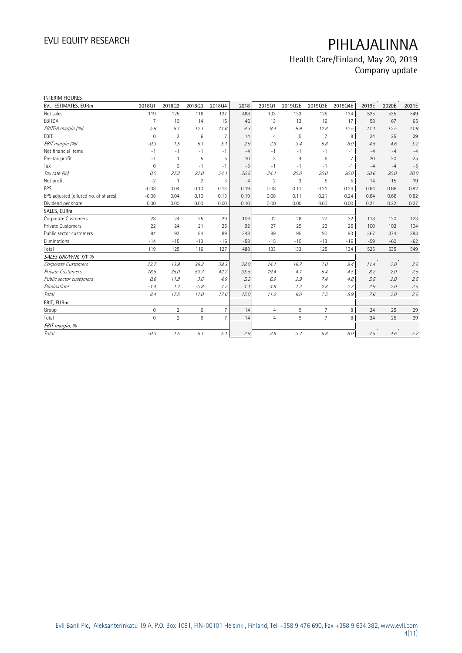| <b>INTERIM FIGURES</b>               |                     |                |                |                |       |                |                |                |                |       |       |       |
|--------------------------------------|---------------------|----------------|----------------|----------------|-------|----------------|----------------|----------------|----------------|-------|-------|-------|
| EVLI ESTIMATES, EURm                 | 201801              | 201802         | 201803         | 201804         | 2018  | 201901         | 2019Q2E        | 2019Q3E        | 2019Q4E        | 2019E | 2020E | 2021E |
| Net sales                            | 119                 | 125            | 116            | 127            | 488   | 133            | 133            | 125            | 134            | 525   | 535   | 549   |
| EBITDA                               | $\overline{7}$      | 10             | 14             | 15             | 46    | 13             | 13             | 16             | 17             | 58    | 67    | 65    |
| EBITDA margin (%)                    | 5.6                 | 8.1            | 12.1           | 11.6           | 9.3   | 9.4            | 9.9            | 12.8           | 12.5           | 11.1  | 12.5  | 11.9  |
| EBIT                                 | $\mathbf{0}$        | $\overline{2}$ | 6              | $\overline{7}$ | 14    | $\overline{4}$ | 5              | 7              | 8              | 24    | 25    | 29    |
| EBIT margin (%)                      | $-0.3$              | 1.5            | 5.1            | 5.1            | 2.9   | 2.9            | 3.4            | 5.8            | 6.0            | 4.5   | 4.6   | 5.2   |
| Net financial items                  | $-1$                | $-1$           | $-1$           | $-1$           | $-4$  | $-1$           | -1             | $-1$           | $-1$           | $-4$  | $-4$  | $-4$  |
| Pre-tax profit                       | $-1$                | $\mathbf{1}$   | 5              | 5              | 10    | 3              | $\overline{4}$ | 6              | $\overline{7}$ | 20    | 20    | 25    |
| Tax                                  | $\mathsf{O}\xspace$ | $\mathbf{0}$   | $-1$           | $-1$           | $-3$  | $-1$           | $-1$           | $-1$           | $-1$           | $-4$  | $-4$  | $-5$  |
| Tax rate (%)                         | 0.0                 | 27.3           | 22.0           | 24.1           | 26.5  | 24.1           | 20.0           | 20.0           | 20.0           | 20.6  | 20.0  | 20.0  |
| Net profit                           | $-2$                | $\mathbf{1}$   | $\overline{2}$ | 3              | 4     | $\overline{2}$ | 3              | 5              | 5              | 14    | 15    | 19    |
| EPS                                  | $-0.08$             | 0.04           | 0.10           | 0.13           | 0.19  | 0.08           | 0.11           | 0.21           | 0.24           | 0.64  | 0.66  | 0.82  |
| EPS adjusted (diluted no. of shares) | $-0.08$             | 0.04           | 0.10           | 0.13           | 0.19  | 0.08           | 0.11           | 0.21           | 0.24           | 0.64  | 0.66  | 0.82  |
| Dividend per share                   | 0.00                | 0.00           | 0.00           | 0.00           | 0.10  | 0.00           | 0.00           | 0.00           | 0.00           | 0.21  | 0.22  | 0.27  |
| SALES, EURm                          |                     |                |                |                |       |                |                |                |                |       |       |       |
| Corporate Customers                  | 28                  | 24             | 25             | 29             | 106   | 32             | 28             | 27             | 32             | 118   | 120   | 123   |
| <b>Private Customers</b>             | 22                  | 24             | 21             | 25             | 92    | 27             | 25             | 22             | 26             | 100   | 102   | 104   |
| Public sector customers              | 84                  | 92             | 84             | 89             | 348   | 89             | 95             | 90             | 93             | 367   | 374   | 383   |
| Eliminations                         | $-14$               | $-15$          | $-13$          | $-16$          | $-58$ | $-15$          | $-15$          | $-13$          | $-16$          | $-59$ | $-60$ | $-62$ |
| Total                                | 119                 | 125            | 116            | 127            | 488   | 133            | 133            | 125            | 134            | 525   | 535   | 549   |
| SALES GROWTH, Y/Y %                  |                     |                |                |                |       |                |                |                |                |       |       |       |
| Corporate Customers                  | 23.7                | 13.9           | 36.3           | 39.3           | 28.0  | 14.1           | 16.7           | 7.0            | 8.4            | 11.4  | 2.0   | 2.5   |
| Private Customers                    | 16.8                | 35.0           | 53.7           | 42.2           | 35.5  | 19.4           | 4.1            | 5.4            | 4.5            | 8.2   | 2.0   | 2.5   |
| Public sector customers              | 0.6                 | 11.8           | 3.6            | 4.9            | 5.2   | 6.9            | 2.9            | 7.4            | 4.8            | 5.5   | 2.0   | 2.5   |
| Eliminations                         | $-1.4$              | 1.4            | $-0.8$         | 4.7            | 1.1   | 4.9            | 1.3            | 2.8            | 2.7            | 2.9   | 2.0   | 2.5   |
| Total                                | 8.4                 | 17.5           | 17.0           | 17.6           | 15.0  | 11.2           | 6.0            | 7.5            | 5.9            | 7.6   | 2.0   | 2.5   |
| EBIT, EURm                           |                     |                |                |                |       |                |                |                |                |       |       |       |
| Group                                | $\circ$             | $\overline{2}$ | 6              | $\overline{7}$ | 14    | $\overline{4}$ | 5              | $\overline{7}$ | 8              | 24    | 25    | 29    |
| Total                                | $\mathbf 0$         | $\overline{2}$ | 6              | $\overline{7}$ | 14    | $\overline{4}$ | 5              | $\overline{7}$ | 8              | 24    | 25    | 29    |
| EBIT margin, %                       |                     |                |                |                |       |                |                |                |                |       |       |       |
| Total                                | $-0.3$              | 1.5            | 5.1            | 5.1            | 2.9   | 2.9            | 3.4            | 5.8            | 6.0            | 4.5   | 4.6   | 5.2   |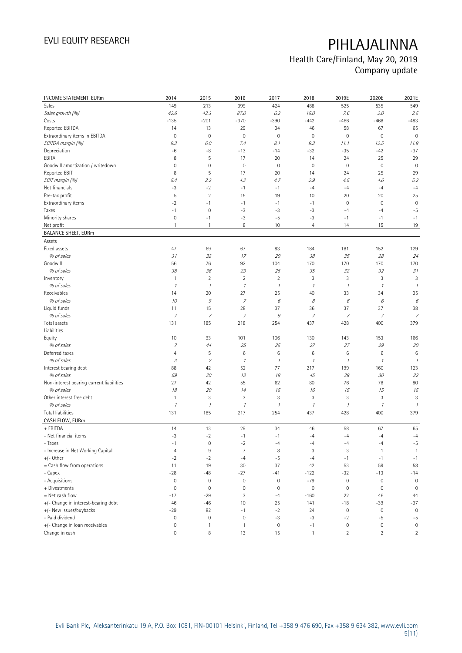| INCOME STATEMENT, EURm                   | 2014                        | 2015                      | 2016                | 2017           | 2018             | 2019E               | 2020E                     | 2021E                    |
|------------------------------------------|-----------------------------|---------------------------|---------------------|----------------|------------------|---------------------|---------------------------|--------------------------|
| Sales                                    | 149                         | 213                       | 399                 | 424            | 488              | 525                 | 535                       | 549                      |
| Sales growth (%)                         | 42.6                        | 43.3                      | 87.0                | 6.2            | 15.0             | 7.6                 | 2.0                       | 2.5                      |
| Costs                                    | $-135$                      | $-201$                    | $-370$              | $-390$         | $-442$           | $-466$              | $-468$                    | $-483$                   |
| Reported EBITDA                          | 14                          | 13                        | 29                  | 34             | 46               | 58                  | 67                        | 65                       |
| Extraordinary items in EBITDA            | $\mathbf 0$                 | $\mathbf 0$               | $\mathbf 0$         | $\mathbf 0$    | $\mathbf 0$      | $\mathsf{O}\xspace$ | $\mathbf 0$               | $\mathbf 0$              |
| EBITDA margin (%)                        | 9.3                         | 6.0                       | 7.4                 | 8.1            | 9.3              | 11.1                | 12.5                      | 11.9                     |
| Depreciation                             | -6                          | -8                        | $-13$               | $-14$          | $-32$            | $-35$               | $-42$                     | $-37$                    |
| EBITA                                    | 8                           | $\mathsf S$               | 17                  | 20             | 14               | 24                  | 25                        | 29                       |
| Goodwill amortization / writedown        | $\mathsf{O}\xspace$         | $\mathbf 0$               | $\mathbf 0$         | $\mathbf 0$    | $\mathbf 0$      | $\mathsf{O}\xspace$ | $\mathbf 0$               | $\mathbf 0$              |
| Reported EBIT                            | 8                           | 5                         | 17                  | 20             | 14               | 24                  | 25                        | 29                       |
| EBIT margin (%)                          | 5.4                         | 2.2                       | 4.2                 | 4.7            | 2.9              | 4.5                 | 4.6                       | 5.2                      |
| Net financials                           | $-3$                        | $-2$                      | $-1$                | $-1$           | $-4$             | $-4$                | $-4$                      | $-4$                     |
| Pre-tax profit                           | 5                           | $\sqrt{2}$                | 15                  | 19             | 10               | 20                  | 20                        | 25                       |
| Extraordinary items                      | $-2$                        | $-1$                      | $-1$                | $-1$           | $-1$             | $\mathsf{O}\xspace$ | $\mathbf 0$               | $\mathbf 0$              |
| Taxes                                    | $-1$                        | $\mathbf 0$               | $-3$                | $-3$           | $-3$             | $-4$                | $-4$                      | $-5$                     |
| Minority shares                          | $\mathbb O$                 | $-1$                      | $-3$                | $-5$           | $-3$             | $-1$                | $-1$                      | $-1$                     |
| Net profit                               | $\mathbf{1}$                | $\mathbf{1}$              | 8                   | 10             | $\overline{4}$   | 14                  | 15                        | 19                       |
| <b>BALANCE SHEET, EURm</b>               |                             |                           |                     |                |                  |                     |                           |                          |
| Assets                                   |                             |                           |                     |                |                  |                     |                           |                          |
| Fixed assets                             | 47                          | 69                        | 67                  | 83             | 184              | 181                 | 152                       | 129                      |
| % of sales                               | 31                          | 32                        | 17                  | 20             | 38               | 35                  | 28                        | 24                       |
| Goodwill                                 | 56                          | 76                        | 92                  | 104            | 170              | 170                 | 170                       | 170                      |
| % of sales                               | 38                          | 36                        | 23                  | 25             | 35               | 32                  | 32                        | 31                       |
| Inventory                                | $\mathbf{1}$                | $\overline{2}$            | $\overline{2}$      | $\overline{2}$ | 3                | 3                   | $\ensuremath{\mathsf{3}}$ | 3                        |
| % of sales                               | $\mathcal I$                | $\mathcal I$              | $\mathcal{I}$       | $\mathcal I$   | $\mathcal{I}$    | $\mathcal I$        | $\mathcal{I}$             | $\mathcal I$             |
| Receivables                              | 14                          | 20                        | 27                  | 25             | 40               | 33                  | 34                        | 35                       |
| % of sales                               | 10                          | $\mathcal G$              | $\overline{z}$      | 6              | 8                | 6                   | 6                         | 6                        |
| Liquid funds                             | 11                          | 15                        | 28                  | 37             | 36               | 37                  | 37                        | 38                       |
| % of sales                               | $\overline{z}$              | 7                         | $\overline{z}$      | $\mathcal G$   | $\overline{z}$   | 7                   | $\overline{z}$            | $\overline{z}$           |
| Total assets                             | 131                         | 185                       | 218                 | 254            | 437              | 428                 | 400                       | 379                      |
| Liabilities                              |                             |                           |                     |                |                  |                     |                           |                          |
| Equity                                   | 10                          | 93                        | 101                 | 106            | 130              | 143                 | 153                       | 166                      |
| % of sales                               | $\overline{z}$              | 44                        | 25                  | 25             | 27               | 27                  | 29                        | 30                       |
| Deferred taxes                           | 4                           | 5                         | $\,6$               | 6              | 6                | 6                   | $\,6\,$                   | 6                        |
| % of sales                               | $\mathcal{S}_{\mathcal{S}}$ | $\overline{2}$            | $\mathcal{I}$       | $\mathcal{I}$  | $\mathcal{I}$    | $\mathcal I$        | $\mathcal I$              | $\mathcal I$             |
| Interest bearing debt                    | 88                          | 42                        | 52                  | 77             | 217              | 199                 | 160                       | 123                      |
| % of sales                               | 59                          | 20                        | 13                  | 18             | 45               | 38                  | 30                        | 22                       |
| Non-interest bearing current liabilities | 27                          | 42                        | 55                  | 62             | 80               | 76                  | 78                        | 80                       |
| % of sales                               | 18                          | 20                        | 14                  | 15             | 16               | 15                  | 15                        | 15                       |
| Other interest free debt                 | $\mathbf{1}$                | $\ensuremath{\mathsf{3}}$ | 3                   | 3              | 3                | $\sqrt{3}$          | $\ensuremath{\mathsf{3}}$ | 3                        |
| % of sales                               | $\mathcal I$                | $\mathcal I$              | $\mathcal{I}$       | $\mathcal I$   | $\mathcal I$     | $\mathcal I$        | $\mathcal I$              | $\overline{\phantom{a}}$ |
| Total liabilities                        | 131                         | 185                       | 217                 | 254            | 437              | 428                 | 400                       | 379                      |
| CASH FLOW, EURm                          |                             |                           |                     |                |                  |                     |                           |                          |
| + EBITDA                                 | 14                          | 13                        | 29                  | 34             | 46               | 58                  | 67                        | 65                       |
| - Net financial items                    | $-3$                        | $-2$                      | $-1$                | $-1$           | $-4$             | $-4$                | $-4$                      | $-4$                     |
| - Taxes                                  | $-1$                        | 0                         | $-2$                | $-4$           | $-4$             | $-4$                | $-4$                      | $-5$                     |
| - Increase in Net Working Capital        | $\overline{4}$              | $\,9$                     | $\overline{7}$      | 8              | 3                | 3                   | $\mathbf{1}$              | $\mathbf{1}$             |
| $+/-$ Other                              | $-2$                        | $-2$                      | $-4$                | $-5$           | $-4$             | $-1$                | $-1$                      | $-1$                     |
| = Cash flow from operations              | 11                          | 19                        | 30                  | 37             | 42               | 53                  | 59                        | 58                       |
| - Capex                                  | $-28$                       | $-48$                     | $-27$               | $-41$          | $-122$           | -32                 | $-13$                     | $-14$                    |
| - Acquisitions                           | $\mathsf{O}\xspace$         | $\mathbf 0$               | $\mathsf{O}\xspace$ | $\mathbf 0$    | $-79$            | $\mathsf{O}\xspace$ | $\mathbb O$               | $\mathbf 0$              |
| + Divestments                            | $\mathsf{O}\xspace$         | $\mathbf 0$               | $\mathbf 0$         | $\mathbf 0$    | $\boldsymbol{0}$ | $\mathbb O$         | 0                         | $\mathbf 0$              |
| = Net cash flow                          | $-17$                       | $-29$                     | 3                   | $-4$           | $-160$           | 22                  | 46                        | 44                       |
| +/- Change in interest-bearing debt      | 46                          | $-46$                     | 10                  | 25             | 141              | $-18$               | $-39$                     | $-37$                    |
| +/- New issues/buybacks                  | $-29$                       | 82                        | $-1$                | $-2$           | 24               | $\mathbb O$         | $\mathbf 0$               | $\mathbf 0$              |
| - Paid dividend                          | $\mathsf{O}\xspace$         | $\mathbf 0$               | $\mathbf 0$         | $-3$           | $-3$             | $-2$                | $-5$                      | $-5$                     |
| +/- Change in loan receivables           | $\mathsf{O}\xspace$         | $\mathbf{1}$              | $\mathbf{1}$        | $\mathbb O$    | $-1$             | $\mathsf{O}\xspace$ | $\mathbf 0$               | $\mathbb O$              |
| Change in cash                           | 0                           | 8                         | 13                  | 15             | $\mathbf{1}$     | $\sqrt{2}$          | $\overline{2}$            | $\overline{2}$           |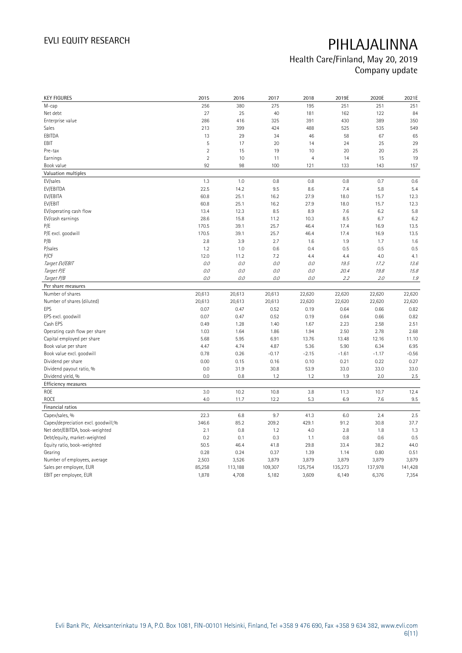| <b>KEY FIGURES</b>                  | 2015           | 2016    | 2017    | 2018           | 2019E   | 2020E   | 2021E   |
|-------------------------------------|----------------|---------|---------|----------------|---------|---------|---------|
| M-cap                               | 256            | 380     | 275     | 195            | 251     | 251     | 251     |
| Net debt                            | 27             | 25      | 40      | 181            | 162     | 122     | 84      |
| Enterprise value                    | 286            | 416     | 325     | 391            | 430     | 389     | 350     |
| Sales                               | 213            | 399     | 424     | 488            | 525     | 535     | 549     |
| EBITDA                              | 13             | 29      | 34      | 46             | 58      | 67      | 65      |
| EBIT                                | 5              | 17      | 20      | 14             | 24      | 25      | 29      |
| Pre-tax                             | $\overline{2}$ | 15      | 19      | 10             | 20      | 20      | 25      |
| Earnings                            | $\overline{2}$ | 10      | 11      | $\overline{4}$ | 14      | 15      | 19      |
| Book value                          | 92             | 98      | 100     | 121            | 133     | 143     | 157     |
| Valuation multiples                 |                |         |         |                |         |         |         |
| EV/sales                            | 1.3            | 1.0     | 0.8     | 0.8            | 0.8     | 0.7     | 0.6     |
| EV/EBITDA                           | 22.5           | 14.2    | 9.5     | 8.6            | 7.4     | 5.8     | 5.4     |
| EV/EBITA                            | 60.8           | 25.1    | 16.2    | 27.9           | 18.0    | 15.7    | 12.3    |
| EV/EBIT                             | 60.8           | 25.1    | 16.2    | 27.9           | 18.0    | 15.7    | 12.3    |
| EV/operating cash flow              | 13.4           | 12.3    | 8.5     | 8.9            | 7.6     | 6.2     | 5.8     |
| EV/cash earnings                    | 28.6           | 15.8    | 11.2    | 10.3           | 8.5     | 6.7     | 6.2     |
| P/E                                 | 170.5          | 39.1    | 25.7    | 46.4           | 17.4    | 16.9    | 13.5    |
| P/E excl. goodwill                  | 170.5          | 39.1    | 25.7    | 46.4           | 17.4    | 16.9    | 13.5    |
| P/B                                 | 2.8            | 3.9     | 2.7     | 1.6            | 1.9     | 1.7     | 1.6     |
| P/sales                             | 1.2            | 1.0     | 0.6     | 0.4            | 0.5     | 0.5     | 0.5     |
| P/CF                                | 12.0           | 11.2    | 7.2     | 4.4            | 4.4     | 4.0     | 4.1     |
| Target EV/EBIT                      | 0.0            | 0.0     | 0.0     | 0.0            | 19.5    | 17.2    | 13.6    |
| Target P/E                          | 0.0            | 0.0     | 0.0     | 0.0            | 20.4    | 19.8    | 15.8    |
| Target P/B                          | 0.0            | 0.0     | 0.0     | 0.0            | 2.2     | 2.0     | $1.9\,$ |
| Per share measures                  |                |         |         |                |         |         |         |
| Number of shares                    | 20,613         | 20,613  | 20,613  | 22,620         | 22,620  | 22,620  | 22,620  |
| Number of shares (diluted)          | 20,613         | 20,613  | 20,613  | 22,620         | 22,620  | 22,620  | 22,620  |
| EPS                                 | 0.07           | 0.47    | 0.52    | 0.19           | 0.64    | 0.66    | 0.82    |
| EPS excl. goodwill                  | 0.07           | 0.47    | 0.52    | 0.19           | 0.64    | 0.66    | 0.82    |
| Cash EPS                            | 0.49           | 1.28    | 1.40    | 1.67           | 2.23    | 2.58    | 2.51    |
| Operating cash flow per share       | 1.03           | 1.64    | 1.86    | 1.94           | 2.50    | 2.78    | 2.68    |
| Capital employed per share          | 5.68           | 5.95    | 6.91    | 13.76          | 13.48   | 12.16   | 11.10   |
| Book value per share                | 4.47           | 4.74    | 4.87    | 5.36           | 5.90    | 6.34    | 6.95    |
| Book value excl. goodwill           | 0.78           | 0.26    | $-0.17$ | $-2.15$        | $-1.61$ | $-1.17$ | $-0.56$ |
| Dividend per share                  | 0.00           | 0.15    | 0.16    | 0.10           | 0.21    | 0.22    | 0.27    |
| Dividend payout ratio, %            | 0.0            | 31.9    | 30.8    | 53.9           | 33.0    | 33.0    | 33.0    |
| Dividend yield, %                   | 0.0            | 0.8     | 1.2     | 1.2            | 1.9     | 2.0     | 2.5     |
| Efficiency measures                 |                |         |         |                |         |         |         |
| ROE                                 | 3.0            | 10.2    | 10.8    | 3.8            | 11.3    | 10.7    | 12.4    |
| ROCE                                | 4.0            | 11.7    | 12.2    | 5.3            | 6.9     | 7.6     | 9.5     |
| Financial ratios                    |                |         |         |                |         |         |         |
| Capex/sales, %                      | 22.3           | 6.8     | 9.7     | 41.3           | 6.0     | 2.4     | 2.5     |
| Capex/depreciation excl. goodwill,% | 346.6          | 85.2    | 209.2   | 429.1          | 91.2    | 30.8    | 37.7    |
| Net debt/EBITDA, book-weighted      | 2.1            | 0.8     | 1.2     | 4.0            | 2.8     | 1.8     | 1.3     |
| Debt/equity, market-weighted        | 0.2            | 0.1     | 0.3     | 1.1            | 0.8     | 0.6     | 0.5     |
| Equity ratio, book-weighted         | 50.5           | 46.4    | 41.8    | 29.8           | 33.4    | 38.2    | 44.0    |
| Gearing                             | 0.28           | 0.24    | 0.37    | 1.39           | 1.14    | 0.80    | 0.51    |
| Number of employees, average        | 2,503          | 3,526   | 3,879   | 3,879          | 3,879   | 3,879   | 3,879   |
| Sales per employee, EUR             | 85,258         | 113,188 | 109,307 | 125,754        | 135,273 | 137,978 | 141,428 |
| EBIT per employee, EUR              | 1,878          | 4,708   | 5,182   | 3,609          | 6,149   | 6,376   | 7,354   |
|                                     |                |         |         |                |         |         |         |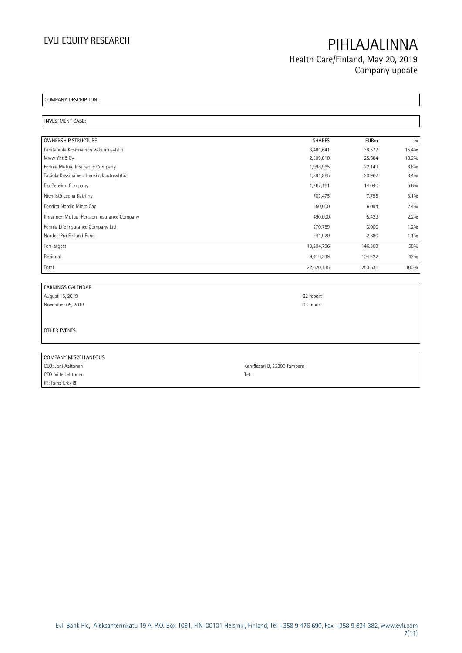Health Care/Finland, May 20, 2019 Company update

COMPANY DESCRIPTION:

INVESTMENT CASE:

| <b>OWNERSHIP STRUCTURE</b>                 | <b>SHARES</b> | <b>EURm</b> | 0/0   |
|--------------------------------------------|---------------|-------------|-------|
| Lähitapiola Keskinäinen Vakuutusyhtiö      | 3,481,641     | 38.577      | 15.4% |
| Mww Yhtiö Oy                               | 2,309,010     | 25.584      | 10.2% |
| Fennia Mutual Insurance Company            | 1,998,965     | 22.149      | 8.8%  |
| Tapiola Keskinäinen Henkivakuutusyhtiö     | 1,891,865     | 20.962      | 8.4%  |
| Elo Pension Company                        | 1,267,161     | 14.040      | 5.6%  |
| Niemistö Leena Katriina                    | 703,475       | 7.795       | 3.1%  |
| Fondita Nordic Micro Cap                   | 550,000       | 6.094       | 2.4%  |
| Ilmarinen Mutual Pension Insurance Company | 490,000       | 5.429       | 2.2%  |
| Fennia Life Insurance Company Ltd          | 270,759       | 3.000       | 1.2%  |
| Nordea Pro Finland Fund                    | 241,920       | 2.680       | 1.1%  |
| Ten largest                                | 13,204,796    | 146.309     | 58%   |
| Residual                                   | 9,415,339     | 104.322     | 42%   |
| Total                                      | 22,620,135    | 250.631     | 100%  |

| <b>EARNINGS CALENDAR</b> |                             |
|--------------------------|-----------------------------|
| August 15, 2019          | Q2 report                   |
| November 05, 2019        | Q3 report                   |
|                          |                             |
| OTHER EVENTS             |                             |
|                          |                             |
|                          |                             |
| COMPANY MISCELLANEOUS    |                             |
| CEO: Joni Aaltonen       | Kehräsaari B, 33200 Tampere |

CFO: Ville Lehtonen Tel: IR: Taina Erkkilä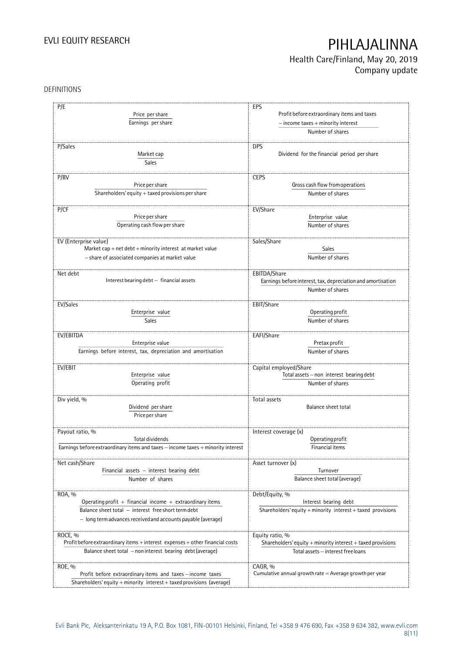Health Care/Finland, May 20, 2019 Company update

## DEFINITIONS

| P/E                                                                              | EPS                                                             |
|----------------------------------------------------------------------------------|-----------------------------------------------------------------|
| Price per share                                                                  | Profit before extraordinary items and taxes                     |
|                                                                                  |                                                                 |
| Earnings per share                                                               | $-$ income taxes $+$ minority interest                          |
|                                                                                  | Number of shares                                                |
|                                                                                  |                                                                 |
| P/Sales                                                                          | <b>DPS</b>                                                      |
| Market cap                                                                       | Dividend for the financial period per share                     |
| Sales                                                                            |                                                                 |
|                                                                                  |                                                                 |
| P/BV                                                                             | <b>CEPS</b>                                                     |
| Price per share                                                                  | Gross cash flow from operations                                 |
| Shareholders' equity $+$ taxed provisions per share                              | Number of shares                                                |
|                                                                                  |                                                                 |
| P/CF                                                                             | EV/Share                                                        |
| Price per share                                                                  | Enterprise value                                                |
| Operating cash flow per share                                                    | Number of shares                                                |
|                                                                                  |                                                                 |
| EV (Enterprise value)                                                            | Sales/Share                                                     |
| Market cap $+$ net debt $+$ minority interest at market value                    | Sales                                                           |
| - share of associated companies at market value                                  | Number of shares                                                |
|                                                                                  |                                                                 |
| Net debt                                                                         | EBITDA/Share                                                    |
| Interest bearing debt - financial assets                                         | Earnings before interest, tax, depreciation and amortisation    |
|                                                                                  | Number of shares                                                |
|                                                                                  |                                                                 |
| EV/Sales                                                                         | EBIT/Share                                                      |
| Enterprise value                                                                 | Operating profit                                                |
| <b>Sales</b>                                                                     | Number of shares                                                |
|                                                                                  |                                                                 |
| EV/EBITDA                                                                        | EAFI/Share                                                      |
| Enterprise value                                                                 | Pretax profit                                                   |
| Earnings before interest, tax, depreciation and amortisation                     | Number of shares                                                |
|                                                                                  |                                                                 |
| EV/EBIT                                                                          | Capital employed/Share                                          |
| Enterprise value                                                                 | Total assets - non interest bearing debt                        |
| Operating profit                                                                 | Number of shares                                                |
|                                                                                  |                                                                 |
| Div yield, %                                                                     | Total assets                                                    |
| Dividend per share                                                               | <b>Balance sheet total</b>                                      |
| Price per share                                                                  |                                                                 |
|                                                                                  |                                                                 |
| Payout ratio, %                                                                  | Interest coverage (x)                                           |
| Total dividends                                                                  | Operating profit                                                |
| Earnings before extraordinary items and taxes - income taxes + minority interest | Financial items                                                 |
|                                                                                  |                                                                 |
| Net cash/Share                                                                   | Asset turnover (x)                                              |
| Financial assets - interest bearing debt                                         | Turnover                                                        |
| Number of shares                                                                 | Balance sheet total (average)                                   |
|                                                                                  |                                                                 |
| ROA, %                                                                           | Debt/Equity, %                                                  |
| Operating profit $+$ financial income $+$ extraordinary items                    | Interest bearing debt                                           |
| Balance sheet total - interest free short term debt                              | Shareholders' equity $+$ minority interest $+$ taxed provisions |
| - long term advances received and accounts payable (average)                     |                                                                 |
|                                                                                  |                                                                 |
| ROCE, %                                                                          | Equity ratio, %                                                 |
| Profit before extraordinary items + interest expenses + other financial costs    | Shareholders' equity + minority interest + taxed provisions     |
| Balance sheet total - non interest bearing debt (average)                        | Total assets - interest free loans                              |
|                                                                                  |                                                                 |
| ROE, %                                                                           | CAGR, %                                                         |
| Profit before extraordinary items and taxes - income taxes                       | Cumulative annual growth rate $=$ Average growth per year       |
| Shareholders' equity + minority interest + taxed provisions (average)            |                                                                 |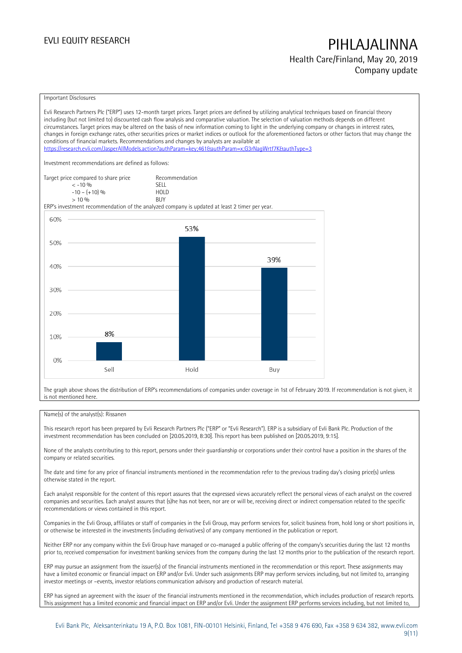## Health Care/Finland, May 20, 2019 Company update

### Important Disclosures

Evli Research Partners Plc ("ERP") uses 12-month target prices. Target prices are defined by utilizing analytical techniques based on financial theory including (but not limited to) discounted cash flow analysis and comparative valuation. The selection of valuation methods depends on different circumstances. Target prices may be altered on the basis of new information coming to light in the underlying company or changes in interest rates, changes in foreign exchange rates, other securities prices or market indices or outlook for the aforementioned factors or other factors that may change the conditions of financial markets. Recommendations and changes by analysts are available at <https://research.evli.com/JasperAllModels.action?authParam=key;461&authParam=x;G3rNagWrtf7K&authType=3> Investment recommendations are defined as follows: Target price compared to share price Recommendation<br>  $\leq -10\%$  $\langle 5, 10, 10 \rangle$  SELL<br>  $\langle -10, 1, 10 \rangle$   $\langle 6, 10 \rangle$   $\langle 10, 10 \rangle$  $-10 - (+10) \%$  HOL<br>  $> 10 \%$  RIJY  $> 10 \frac{0}{0}$ ERP's investment recommendation of the analyzed company is updated at least 2 timer per year. 60% 53% 50% 39% 40% 30% 20% 8% 10%  $0%$ Sell Hold Buy

The graph above shows the distribution of ERP's recommendations of companies under coverage in 1st of February 2019. If recommendation is not given, it is not mentioned here.

## Name(s) of the analyst(s): Rissanen

This research report has been prepared by Evli Research Partners Plc ("ERP" or "Evli Research"). ERP is a subsidiary of Evli Bank Plc. Production of the investment recommendation has been concluded on [20.05.2019, 8:30]. This report has been published on [20.05.2019, 9:15].

None of the analysts contributing to this report, persons under their guardianship or corporations under their control have a position in the shares of the company or related securities.

The date and time for any price of financial instruments mentioned in the recommendation refer to the previous trading day's closing price(s) unless otherwise stated in the report.

Each analyst responsible for the content of this report assures that the expressed views accurately reflect the personal views of each analyst on the covered companies and securities. Each analyst assures that (s)he has not been, nor are or will be, receiving direct or indirect compensation related to the specific recommendations or views contained in this report.

Companies in the Evli Group, affiliates or staff of companies in the Evli Group, may perform services for, solicit business from, hold long or short positions in, or otherwise be interested in the investments (including derivatives) of any company mentioned in the publication or report.

Neither ERP nor any company within the Evli Group have managed or co-managed a public offering of the company's securities during the last 12 months prior to, received compensation for investment banking services from the company during the last 12 months prior to the publication of the research report.

ERP may pursue an assignment from the issuer(s) of the financial instruments mentioned in the recommendation or this report. These assignments may have a limited economic or financial impact on ERP and/or Evli. Under such assignments ERP may perform services including, but not limited to, arranging investor meetings or –events, investor relations communication advisory and production of research material.

ERP has signed an agreement with the issuer of the financial instruments mentioned in the recommendation, which includes production of research reports. This assignment has a limited economic and financial impact on ERP and/or Evli. Under the assignment ERP performs services including, but not limited to,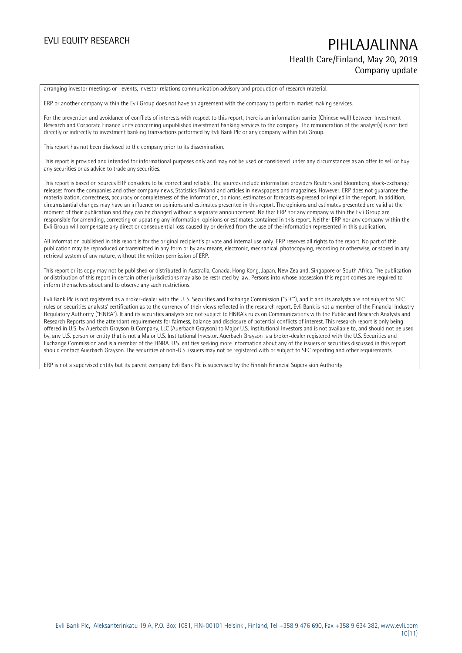# EVLI EQUITY RESEARCH PIHLAJALINNA Health Care/Finland, May 20, 2019 Company update

arranging investor meetings or –events, investor relations communication advisory and production of research material.

ERP or another company within the Evli Group does not have an agreement with the company to perform market making services.

For the prevention and avoidance of conflicts of interests with respect to this report, there is an information barrier (Chinese wall) between Investment Research and Corporate Finance units concerning unpublished investment banking services to the company. The remuneration of the analyst(s) is not tied directly or indirectly to investment banking transactions performed by Evli Bank Plc or any company within Evli Group.

This report has not been disclosed to the company prior to its dissemination.

This report is provided and intended for informational purposes only and may not be used or considered under any circumstances as an offer to sell or buy any securities or as advice to trade any securities.

This report is based on sources ERP considers to be correct and reliable. The sources include information providers Reuters and Bloomberg, stock-exchange releases from the companies and other company news, Statistics Finland and articles in newspapers and magazines. However, ERP does not guarantee the materialization, correctness, accuracy or completeness of the information, opinions, estimates or forecasts expressed or implied in the report. In addition, circumstantial changes may have an influence on opinions and estimates presented in this report. The opinions and estimates presented are valid at the moment of their publication and they can be changed without a separate announcement. Neither ERP nor any company within the Evli Group are responsible for amending, correcting or updating any information, opinions or estimates contained in this report. Neither ERP nor any company within the Evli Group will compensate any direct or consequential loss caused by or derived from the use of the information represented in this publication.

All information published in this report is for the original recipient's private and internal use only. ERP reserves all rights to the report. No part of this publication may be reproduced or transmitted in any form or by any means, electronic, mechanical, photocopying, recording or otherwise, or stored in any retrieval system of any nature, without the written permission of ERP.

This report or its copy may not be published or distributed in Australia, Canada, Hong Kong, Japan, New Zealand, Singapore or South Africa. The publication or distribution of this report in certain other jurisdictions may also be restricted by law. Persons into whose possession this report comes are required to inform themselves about and to observe any such restrictions.

Evli Bank Plc is not registered as a broker-dealer with the U. S. Securities and Exchange Commission ("SEC"), and it and its analysts are not subject to SEC rules on securities analysts' certification as to the currency of their views reflected in the research report. Evli Bank is not a member of the Financial Industry Regulatory Authority ("FINRA"). It and its securities analysts are not subject to FINRA's rules on Communications with the Public and Research Analysts and Research Reports and the attendant requirements for fairness, balance and disclosure of potential conflicts of interest. This research report is only being offered in U.S. by Auerbach Grayson & Company, LLC (Auerbach Grayson) to Major U.S. Institutional Investors and is not available to, and should not be used by, any U.S. person or entity that is not a Major U.S. Institutional Investor. Auerbach Grayson is a broker-dealer registered with the U.S. Securities and Exchange Commission and is a member of the FINRA. U.S. entities seeking more information about any of the issuers or securities discussed in this report should contact Auerbach Grayson. The securities of non-U.S. issuers may not be registered with or subject to SEC reporting and other requirements.

ERP is not a supervised entity but its parent company Evli Bank Plc is supervised by the Finnish Financial Supervision Authority.